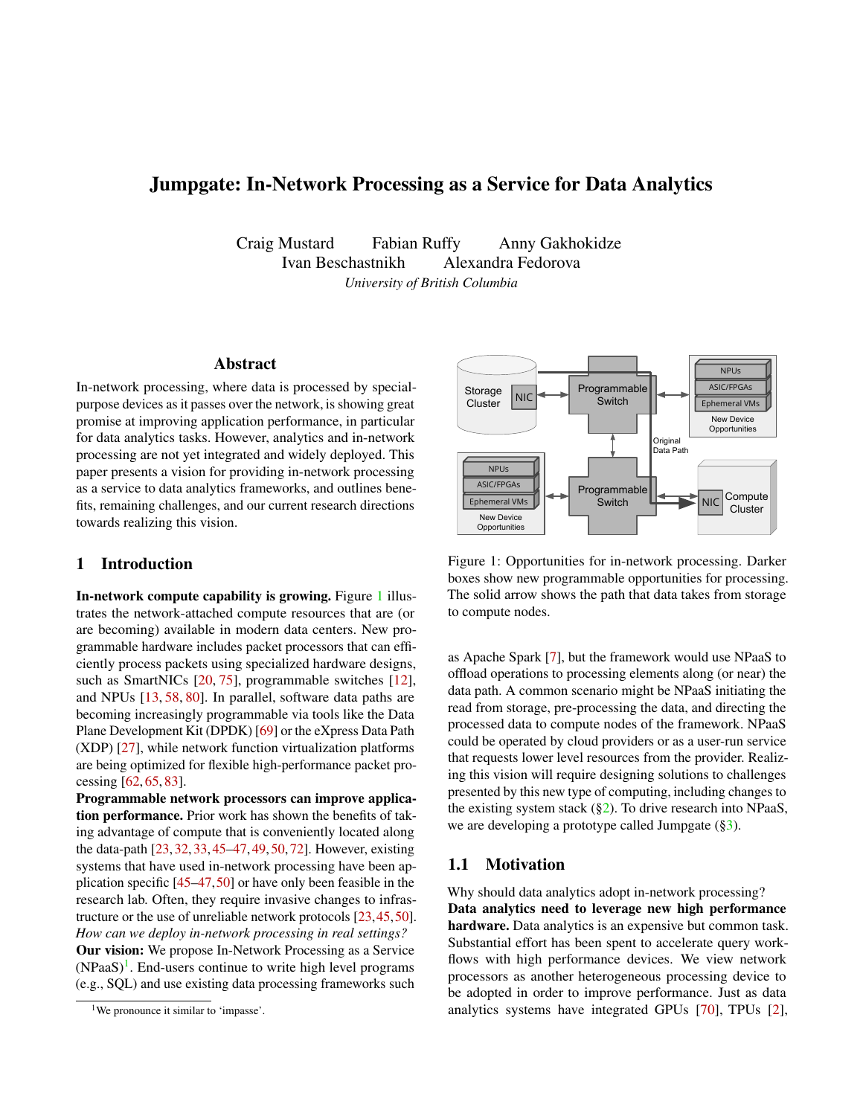# Jumpgate: In-Network Processing as a Service for Data Analytics

Craig Mustard Fabian Ruffy Anny Gakhokidze Ivan Beschastnikh Alexandra Fedorova *University of British Columbia*

# Abstract

In-network processing, where data is processed by specialpurpose devices as it passes over the network, is showing great promise at improving application performance, in particular for data analytics tasks. However, analytics and in-network processing are not yet integrated and widely deployed. This paper presents a vision for providing in-network processing as a service to data analytics frameworks, and outlines benefits, remaining challenges, and our current research directions towards realizing this vision.

## 1 Introduction

In-network compute capability is growing. Figure [1](#page-0-0) illustrates the network-attached compute resources that are (or are becoming) available in modern data centers. New programmable hardware includes packet processors that can efficiently process packets using specialized hardware designs, such as SmartNICs [\[20,](#page-6-0) [75\]](#page-9-0), programmable switches [\[12\]](#page-6-1), and NPUs [\[13,](#page-6-2) [58,](#page-8-0) [80\]](#page-9-1). In parallel, software data paths are becoming increasingly programmable via tools like the Data Plane Development Kit (DPDK) [\[69\]](#page-9-2) or the eXpress Data Path (XDP) [\[27\]](#page-7-0), while network function virtualization platforms are being optimized for flexible high-performance packet processing [\[62,](#page-8-1) [65,](#page-8-2) [83\]](#page-10-0).

Programmable network processors can improve application performance. Prior work has shown the benefits of taking advantage of compute that is conveniently located along the data-path [\[23,](#page-6-3) [32,](#page-7-1) [33,](#page-7-2) [45–](#page-7-3)[47,](#page-8-3) [49,](#page-8-4) [50,](#page-8-5) [72\]](#page-9-3). However, existing systems that have used in-network processing have been application specific [\[45](#page-7-3)[–47,](#page-8-3)[50\]](#page-8-5) or have only been feasible in the research lab. Often, they require invasive changes to infrastructure or the use of unreliable network protocols [\[23,](#page-6-3)[45,](#page-7-3)[50\]](#page-8-5). *How can we deploy in-network processing in real settings?* Our vision: We propose In-Network Processing as a Service  $(NPaaS)^{1}$  $(NPaaS)^{1}$  $(NPaaS)^{1}$ . End-users continue to write high level programs (e.g., SQL) and use existing data processing frameworks such



<span id="page-0-0"></span>Figure 1: Opportunities for in-network processing. Darker boxes show new programmable opportunities for processing. The solid arrow shows the path that data takes from storage to compute nodes.

as Apache Spark [\[7\]](#page-5-0), but the framework would use NPaaS to offload operations to processing elements along (or near) the data path. A common scenario might be NPaaS initiating the read from storage, pre-processing the data, and directing the processed data to compute nodes of the framework. NPaaS could be operated by cloud providers or as a user-run service that requests lower level resources from the provider. Realizing this vision will require designing solutions to challenges presented by this new type of computing, including changes to the existing system stack  $(\S_2)$ . To drive research into NPaaS, we are developing a prototype called Jumpgate ([§3\)](#page-4-0).

#### <span id="page-0-2"></span>1.1 Motivation

Why should data analytics adopt in-network processing? Data analytics need to leverage new high performance hardware. Data analytics is an expensive but common task. Substantial effort has been spent to accelerate query workflows with high performance devices. We view network processors as another heterogeneous processing device to be adopted in order to improve performance. Just as data analytics systems have integrated GPUs [\[70\]](#page-9-4), TPUs [\[2\]](#page-5-1),

<span id="page-0-1"></span><sup>&</sup>lt;sup>1</sup>We pronounce it similar to 'impasse'.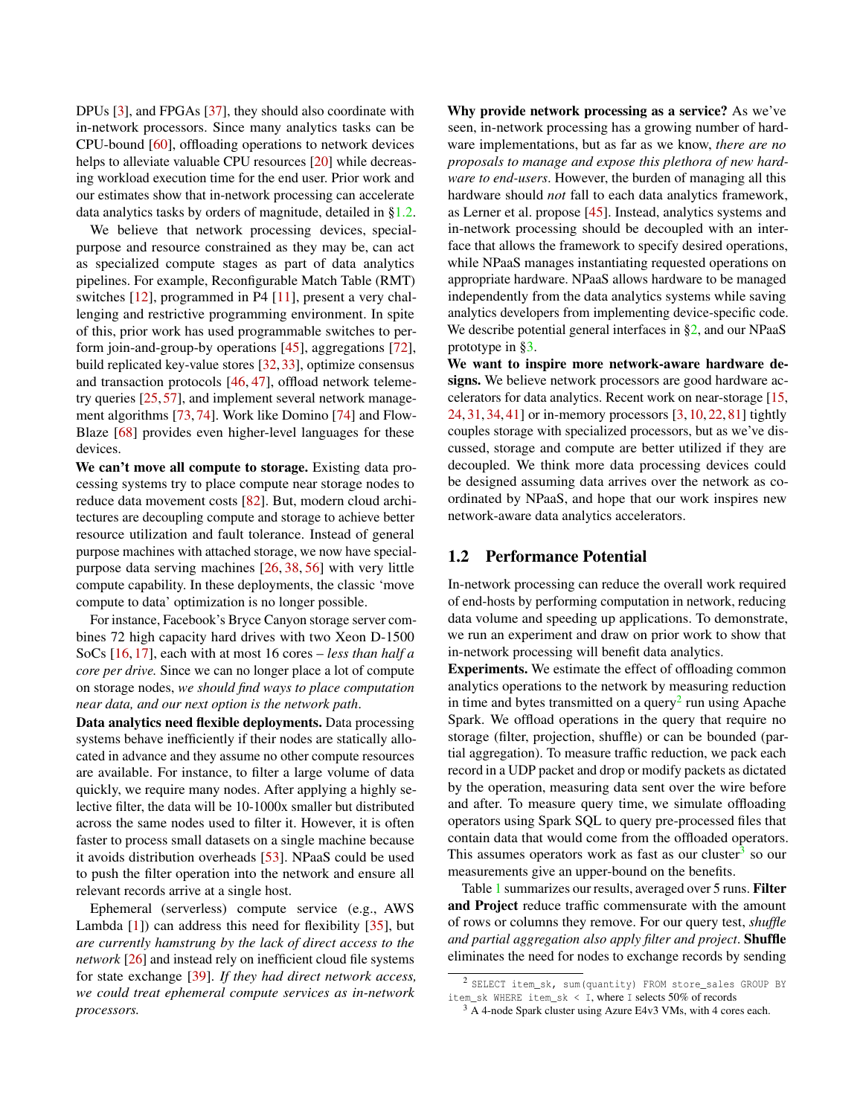DPUs [\[3\]](#page-5-2), and FPGAs [\[37\]](#page-7-4), they should also coordinate with in-network processors. Since many analytics tasks can be CPU-bound [\[60\]](#page-8-6), offloading operations to network devices helps to alleviate valuable CPU resources [\[20\]](#page-6-0) while decreasing workload execution time for the end user. Prior work and our estimates show that in-network processing can accelerate data analytics tasks by orders of magnitude, detailed in [§1.2.](#page-1-0)

We believe that network processing devices, specialpurpose and resource constrained as they may be, can act as specialized compute stages as part of data analytics pipelines. For example, Reconfigurable Match Table (RMT) switches [\[12\]](#page-6-1), programmed in P4 [\[11\]](#page-6-4), present a very challenging and restrictive programming environment. In spite of this, prior work has used programmable switches to perform join-and-group-by operations [\[45\]](#page-7-3), aggregations [\[72\]](#page-9-3), build replicated key-value stores [\[32,](#page-7-1) [33\]](#page-7-2), optimize consensus and transaction protocols [\[46,](#page-8-7) [47\]](#page-8-3), offload network telemetry queries [\[25,](#page-6-5) [57\]](#page-8-8), and implement several network management algorithms [\[73,](#page-9-5) [74\]](#page-9-6). Work like Domino [\[74\]](#page-9-6) and Flow-Blaze [\[68\]](#page-9-7) provides even higher-level languages for these devices.

We can't move all compute to storage. Existing data processing systems try to place compute near storage nodes to reduce data movement costs [\[82\]](#page-9-8). But, modern cloud architectures are decoupling compute and storage to achieve better resource utilization and fault tolerance. Instead of general purpose machines with attached storage, we now have specialpurpose data serving machines [\[26,](#page-6-6) [38,](#page-7-5) [56\]](#page-8-9) with very little compute capability. In these deployments, the classic 'move compute to data' optimization is no longer possible.

For instance, Facebook's Bryce Canyon storage server combines 72 high capacity hard drives with two Xeon D-1500 SoCs [\[16,](#page-6-7) [17\]](#page-6-8), each with at most 16 cores – *less than half a core per drive.* Since we can no longer place a lot of compute on storage nodes, *we should find ways to place computation near data, and our next option is the network path*.

Data analytics need flexible deployments. Data processing systems behave inefficiently if their nodes are statically allocated in advance and they assume no other compute resources are available. For instance, to filter a large volume of data quickly, we require many nodes. After applying a highly selective filter, the data will be 10-1000x smaller but distributed across the same nodes used to filter it. However, it is often faster to process small datasets on a single machine because it avoids distribution overheads [\[53\]](#page-8-10). NPaaS could be used to push the filter operation into the network and ensure all relevant records arrive at a single host.

Ephemeral (serverless) compute service (e.g., AWS Lambda [\[1\]](#page-5-3)) can address this need for flexibility [\[35\]](#page-7-6), but *are currently hamstrung by the lack of direct access to the network* [\[26\]](#page-6-6) and instead rely on inefficient cloud file systems for state exchange [\[39\]](#page-7-7). *If they had direct network access, we could treat ephemeral compute services as in-network processors.*

Why provide network processing as a service? As we've seen, in-network processing has a growing number of hardware implementations, but as far as we know, *there are no proposals to manage and expose this plethora of new hardware to end-users*. However, the burden of managing all this hardware should *not* fall to each data analytics framework, as Lerner et al. propose [\[45\]](#page-7-3). Instead, analytics systems and in-network processing should be decoupled with an interface that allows the framework to specify desired operations, while NPaaS manages instantiating requested operations on appropriate hardware. NPaaS allows hardware to be managed independently from the data analytics systems while saving analytics developers from implementing device-specific code. We describe potential general interfaces in [§2,](#page-3-0) and our NPaaS prototype in [§3.](#page-4-0)

We want to inspire more network-aware hardware designs. We believe network processors are good hardware accelerators for data analytics. Recent work on near-storage [\[15,](#page-6-9) [24,](#page-6-10) [31,](#page-7-8) [34,](#page-7-9) [41\]](#page-7-10) or in-memory processors [\[3,](#page-5-2) [10,](#page-5-4) [22,](#page-6-11) [81\]](#page-9-9) tightly couples storage with specialized processors, but as we've discussed, storage and compute are better utilized if they are decoupled. We think more data processing devices could be designed assuming data arrives over the network as coordinated by NPaaS, and hope that our work inspires new network-aware data analytics accelerators.

# <span id="page-1-0"></span>1.2 Performance Potential

In-network processing can reduce the overall work required of end-hosts by performing computation in network, reducing data volume and speeding up applications. To demonstrate, we run an experiment and draw on prior work to show that in-network processing will benefit data analytics.

Experiments. We estimate the effect of offloading common analytics operations to the network by measuring reduction in time and bytes transmitted on a query<sup>[2](#page-1-1)</sup> run using Apache Spark. We offload operations in the query that require no storage (filter, projection, shuffle) or can be bounded (partial aggregation). To measure traffic reduction, we pack each record in a UDP packet and drop or modify packets as dictated by the operation, measuring data sent over the wire before and after. To measure query time, we simulate offloading operators using Spark SQL to query pre-processed files that contain data that would come from the offloaded operators. This assumes operators work as fast as our cluster<sup>[3](#page-1-2)</sup> so our measurements give an upper-bound on the benefits.

Table [1](#page-2-1) summarizes our results, averaged over 5 runs. Filter and Project reduce traffic commensurate with the amount of rows or columns they remove. For our query test, *shuffle and partial aggregation also apply filter and project*. Shuffle eliminates the need for nodes to exchange records by sending

<span id="page-1-1"></span><sup>2</sup> SELECT item\_sk, sum(quantity) FROM store\_sales GROUP BY item\_sk WHERE item\_sk < I, where I selects 50% of records

<span id="page-1-2"></span><sup>&</sup>lt;sup>3</sup> A 4-node Spark cluster using Azure E4v3 VMs, with 4 cores each.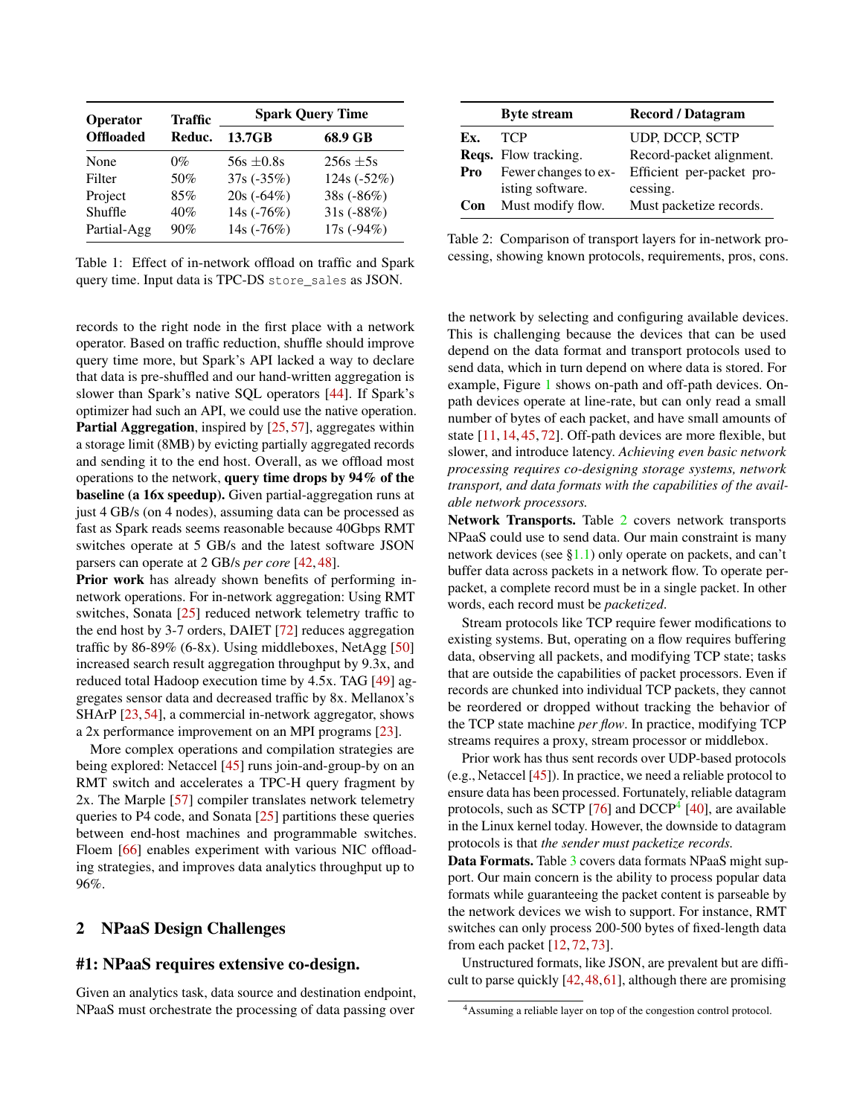| Operator         | <b>Traffic</b> | <b>Spark Query Time</b> |             |
|------------------|----------------|-------------------------|-------------|
| <b>Offloaded</b> | Reduc.         | 13.7GB                  | 68.9 GB     |
| None             | 0%             | $56s + 0.8s$            | $256s + 5s$ |
| Filter           | 50%            | 37s (-35%)              | 124s (-52%) |
| Project          | 85%            | $20s(-64%)$             | 38s (-86%)  |
| Shuffle          | 40%            | 14s (-76%)              | $31s(-88%)$ |
| Partial-Agg      | 90%            | 14s (-76%)              | $17s(-94%)$ |

<span id="page-2-1"></span>Table 1: Effect of in-network offload on traffic and Spark query time. Input data is TPC-DS store\_sales as JSON.

records to the right node in the first place with a network operator. Based on traffic reduction, shuffle should improve query time more, but Spark's API lacked a way to declare that data is pre-shuffled and our hand-written aggregation is slower than Spark's native SQL operators [\[44\]](#page-7-11). If Spark's optimizer had such an API, we could use the native operation. Partial Aggregation, inspired by [\[25,](#page-6-5) [57\]](#page-8-8), aggregates within a storage limit (8MB) by evicting partially aggregated records and sending it to the end host. Overall, as we offload most operations to the network, query time drops by 94% of the baseline (a 16x speedup). Given partial-aggregation runs at just 4 GB/s (on 4 nodes), assuming data can be processed as fast as Spark reads seems reasonable because 40Gbps RMT switches operate at 5 GB/s and the latest software JSON parsers can operate at 2 GB/s *per core* [\[42,](#page-7-12) [48\]](#page-8-11).

Prior work has already shown benefits of performing innetwork operations. For in-network aggregation: Using RMT switches, Sonata [\[25\]](#page-6-5) reduced network telemetry traffic to the end host by 3-7 orders, DAIET [\[72\]](#page-9-3) reduces aggregation traffic by  $86-89\%$  (6-8x). Using middleboxes, NetAgg [\[50\]](#page-8-5) increased search result aggregation throughput by 9.3x, and reduced total Hadoop execution time by 4.5x. TAG [\[49\]](#page-8-4) aggregates sensor data and decreased traffic by 8x. Mellanox's SHArP [\[23,](#page-6-3) [54\]](#page-8-12), a commercial in-network aggregator, shows a 2x performance improvement on an MPI programs [\[23\]](#page-6-3).

More complex operations and compilation strategies are being explored: Netaccel [\[45\]](#page-7-3) runs join-and-group-by on an RMT switch and accelerates a TPC-H query fragment by 2x. The Marple [\[57\]](#page-8-8) compiler translates network telemetry queries to P4 code, and Sonata [\[25\]](#page-6-5) partitions these queries between end-host machines and programmable switches. Floem [\[66\]](#page-9-10) enables experiment with various NIC offloading strategies, and improves data analytics throughput up to 96%.

## <span id="page-2-0"></span>2 NPaaS Design Challenges

# #1: NPaaS requires extensive co-design.

Given an analytics task, data source and destination endpoint, NPaaS must orchestrate the processing of data passing over

|     | <b>Byte stream</b>          | <b>Record</b> / Datagram  |
|-----|-----------------------------|---------------------------|
| Ex. | <b>TCP</b>                  | UDP, DCCP, SCTP           |
|     | <b>Reqs.</b> Flow tracking. | Record-packet alignment.  |
| Pro | Fewer changes to ex-        | Efficient per-packet pro- |
|     | isting software.            | cessing.                  |
| Con | Must modify flow.           | Must packetize records.   |

<span id="page-2-2"></span>Table 2: Comparison of transport layers for in-network processing, showing known protocols, requirements, pros, cons.

the network by selecting and configuring available devices. This is challenging because the devices that can be used depend on the data format and transport protocols used to send data, which in turn depend on where data is stored. For example, Figure [1](#page-0-0) shows on-path and off-path devices. Onpath devices operate at line-rate, but can only read a small number of bytes of each packet, and have small amounts of state [\[11,](#page-6-4) [14,](#page-6-12) [45,](#page-7-3) [72\]](#page-9-3). Off-path devices are more flexible, but slower, and introduce latency. *Achieving even basic network processing requires co-designing storage systems, network transport, and data formats with the capabilities of the available network processors.*

Network Transports. Table [2](#page-2-2) covers network transports NPaaS could use to send data. Our main constraint is many network devices (see  $\S1.1$ ) only operate on packets, and can't buffer data across packets in a network flow. To operate perpacket, a complete record must be in a single packet. In other words, each record must be *packetized*.

Stream protocols like TCP require fewer modifications to existing systems. But, operating on a flow requires buffering data, observing all packets, and modifying TCP state; tasks that are outside the capabilities of packet processors. Even if records are chunked into individual TCP packets, they cannot be reordered or dropped without tracking the behavior of the TCP state machine *per flow*. In practice, modifying TCP streams requires a proxy, stream processor or middlebox.

Prior work has thus sent records over UDP-based protocols (e.g., Netaccel [\[45\]](#page-7-3)). In practice, we need a reliable protocol to ensure data has been processed. Fortunately, reliable datagram protocols, such as SCTP [\[76\]](#page-9-11) and DCCP<sup>[4](#page-2-3)</sup> [\[40\]](#page-7-13), are available in the Linux kernel today. However, the downside to datagram protocols is that *the sender must packetize records.*

Data Formats. Table [3](#page-3-1) covers data formats NPaaS might support. Our main concern is the ability to process popular data formats while guaranteeing the packet content is parseable by the network devices we wish to support. For instance, RMT switches can only process 200-500 bytes of fixed-length data from each packet [\[12,](#page-6-1) [72,](#page-9-3) [73\]](#page-9-5).

Unstructured formats, like JSON, are prevalent but are difficult to parse quickly [\[42,](#page-7-12)[48,](#page-8-11)[61\]](#page-8-13), although there are promising

<span id="page-2-3"></span><sup>4</sup>Assuming a reliable layer on top of the congestion control protocol.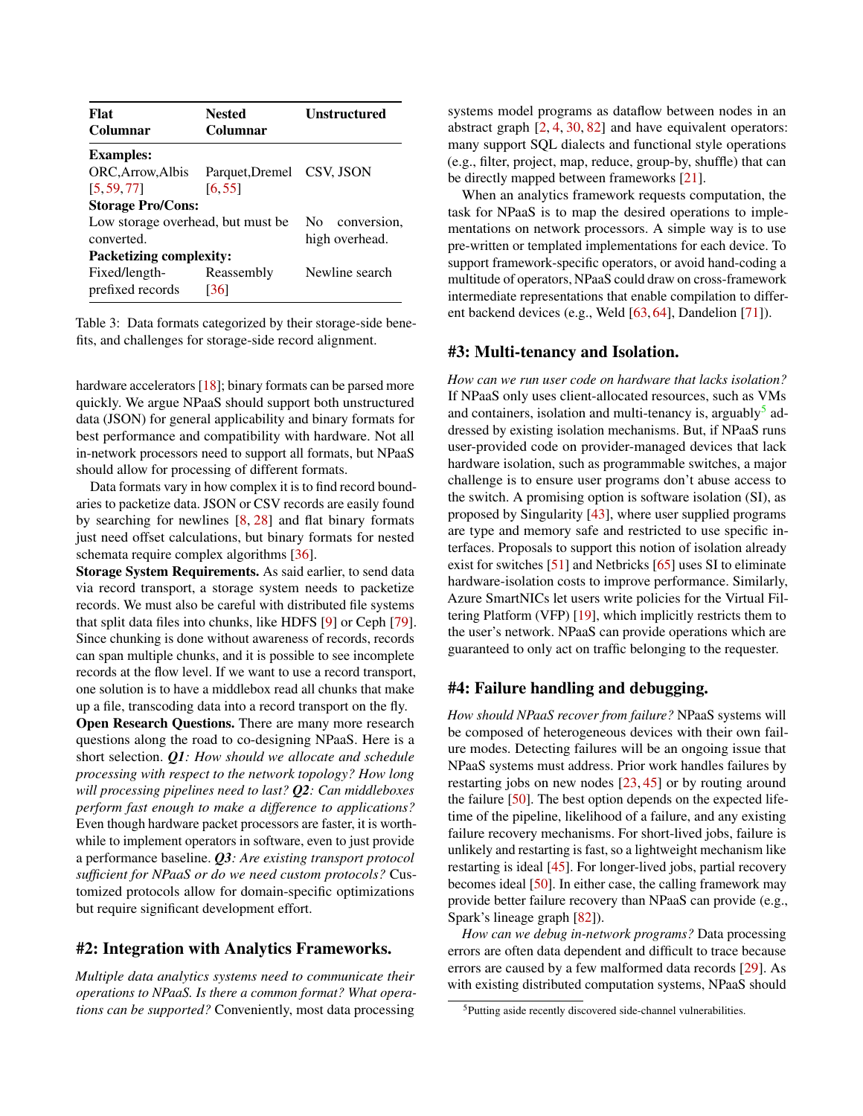| Flat                               | <b>Nested</b>             | <b>Unstructured</b> |  |  |  |
|------------------------------------|---------------------------|---------------------|--|--|--|
| Columnar                           | Columnar                  |                     |  |  |  |
| <b>Examples:</b>                   |                           |                     |  |  |  |
| ORC, Arrow, Albis                  | Parquet, Dremel CSV, JSON |                     |  |  |  |
| [5, 59, 77]                        | [6, 55]                   |                     |  |  |  |
| <b>Storage Pro/Cons:</b>           |                           |                     |  |  |  |
| Low storage overhead, but must be. | No conversion,            |                     |  |  |  |
| converted.                         |                           | high overhead.      |  |  |  |
| <b>Packetizing complexity:</b>     |                           |                     |  |  |  |
| Fixed/length-                      | Reassembly                | Newline search      |  |  |  |
| prefixed records                   | [36]                      |                     |  |  |  |

<span id="page-3-1"></span>Table 3: Data formats categorized by their storage-side benefits, and challenges for storage-side record alignment.

hardware accelerators [\[18\]](#page-6-13); binary formats can be parsed more quickly. We argue NPaaS should support both unstructured data (JSON) for general applicability and binary formats for best performance and compatibility with hardware. Not all in-network processors need to support all formats, but NPaaS should allow for processing of different formats.

Data formats vary in how complex it is to find record boundaries to packetize data. JSON or CSV records are easily found by searching for newlines [\[8,](#page-5-7) [28\]](#page-7-15) and flat binary formats just need offset calculations, but binary formats for nested schemata require complex algorithms [\[36\]](#page-7-14).

Storage System Requirements. As said earlier, to send data via record transport, a storage system needs to packetize records. We must also be careful with distributed file systems that split data files into chunks, like HDFS [\[9\]](#page-5-8) or Ceph [\[79\]](#page-9-13). Since chunking is done without awareness of records, records can span multiple chunks, and it is possible to see incomplete records at the flow level. If we want to use a record transport, one solution is to have a middlebox read all chunks that make up a file, transcoding data into a record transport on the fly.

Open Research Questions. There are many more research questions along the road to co-designing NPaaS. Here is a short selection. *Q1: How should we allocate and schedule processing with respect to the network topology? How long will processing pipelines need to last? Q2: Can middleboxes perform fast enough to make a difference to applications?* Even though hardware packet processors are faster, it is worthwhile to implement operators in software, even to just provide a performance baseline. *Q3: Are existing transport protocol sufficient for NPaaS or do we need custom protocols?* Customized protocols allow for domain-specific optimizations but require significant development effort.

## <span id="page-3-0"></span>#2: Integration with Analytics Frameworks.

*Multiple data analytics systems need to communicate their operations to NPaaS. Is there a common format? What operations can be supported?* Conveniently, most data processing systems model programs as dataflow between nodes in an abstract graph [\[2,](#page-5-1) [4,](#page-5-9) [30,](#page-7-16) [82\]](#page-9-8) and have equivalent operators: many support SQL dialects and functional style operations (e.g., filter, project, map, reduce, group-by, shuffle) that can be directly mapped between frameworks [\[21\]](#page-6-14).

When an analytics framework requests computation, the task for NPaaS is to map the desired operations to implementations on network processors. A simple way is to use pre-written or templated implementations for each device. To support framework-specific operators, or avoid hand-coding a multitude of operators, NPaaS could draw on cross-framework intermediate representations that enable compilation to different backend devices (e.g., Weld [\[63,](#page-8-16) [64\]](#page-8-17), Dandelion [\[71\]](#page-9-14)).

#### #3: Multi-tenancy and Isolation.

*How can we run user code on hardware that lacks isolation?* If NPaaS only uses client-allocated resources, such as VMs and containers, isolation and multi-tenancy is, arguably<sup>[5](#page-3-2)</sup> addressed by existing isolation mechanisms. But, if NPaaS runs user-provided code on provider-managed devices that lack hardware isolation, such as programmable switches, a major challenge is to ensure user programs don't abuse access to the switch. A promising option is software isolation (SI), as proposed by Singularity [\[43\]](#page-7-17), where user supplied programs are type and memory safe and restricted to use specific interfaces. Proposals to support this notion of isolation already exist for switches [\[51\]](#page-8-18) and Netbricks [\[65\]](#page-8-2) uses SI to eliminate hardware-isolation costs to improve performance. Similarly, Azure SmartNICs let users write policies for the Virtual Filtering Platform (VFP) [\[19\]](#page-6-15), which implicitly restricts them to the user's network. NPaaS can provide operations which are guaranteed to only act on traffic belonging to the requester.

#### #4: Failure handling and debugging.

*How should NPaaS recover from failure?* NPaaS systems will be composed of heterogeneous devices with their own failure modes. Detecting failures will be an ongoing issue that NPaaS systems must address. Prior work handles failures by restarting jobs on new nodes [\[23,](#page-6-3) [45\]](#page-7-3) or by routing around the failure [\[50\]](#page-8-5). The best option depends on the expected lifetime of the pipeline, likelihood of a failure, and any existing failure recovery mechanisms. For short-lived jobs, failure is unlikely and restarting is fast, so a lightweight mechanism like restarting is ideal [\[45\]](#page-7-3). For longer-lived jobs, partial recovery becomes ideal [\[50\]](#page-8-5). In either case, the calling framework may provide better failure recovery than NPaaS can provide (e.g., Spark's lineage graph [\[82\]](#page-9-8)).

*How can we debug in-network programs?* Data processing errors are often data dependent and difficult to trace because errors are caused by a few malformed data records [\[29\]](#page-7-18). As with existing distributed computation systems, NPaaS should

<span id="page-3-2"></span><sup>5</sup>Putting aside recently discovered side-channel vulnerabilities.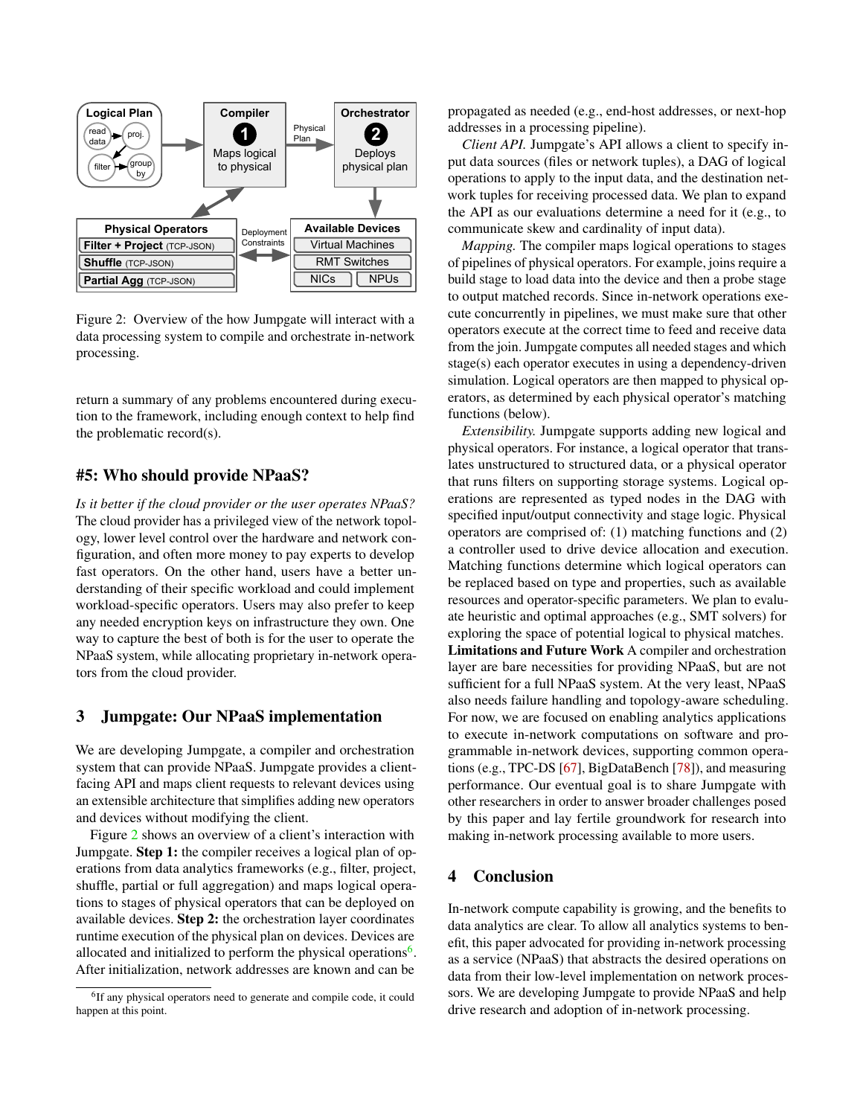

<span id="page-4-1"></span>Figure 2: Overview of the how Jumpgate will interact with a data processing system to compile and orchestrate in-network processing.

return a summary of any problems encountered during execution to the framework, including enough context to help find the problematic record(s).

#### #5: Who should provide NPaaS?

*Is it better if the cloud provider or the user operates NPaaS?* The cloud provider has a privileged view of the network topology, lower level control over the hardware and network configuration, and often more money to pay experts to develop fast operators. On the other hand, users have a better understanding of their specific workload and could implement workload-specific operators. Users may also prefer to keep any needed encryption keys on infrastructure they own. One way to capture the best of both is for the user to operate the NPaaS system, while allocating proprietary in-network operators from the cloud provider.

### <span id="page-4-0"></span>3 Jumpgate: Our NPaaS implementation

We are developing Jumpgate, a compiler and orchestration system that can provide NPaaS. Jumpgate provides a clientfacing API and maps client requests to relevant devices using an extensible architecture that simplifies adding new operators and devices without modifying the client.

Figure [2](#page-4-1) shows an overview of a client's interaction with Jumpgate. Step 1: the compiler receives a logical plan of operations from data analytics frameworks (e.g., filter, project, shuffle, partial or full aggregation) and maps logical operations to stages of physical operators that can be deployed on available devices. Step 2: the orchestration layer coordinates runtime execution of the physical plan on devices. Devices are allocated and initialized to perform the physical operations<sup>[6](#page-4-2)</sup>. After initialization, network addresses are known and can be

propagated as needed (e.g., end-host addresses, or next-hop addresses in a processing pipeline).

*Client API.* Jumpgate's API allows a client to specify input data sources (files or network tuples), a DAG of logical operations to apply to the input data, and the destination network tuples for receiving processed data. We plan to expand the API as our evaluations determine a need for it (e.g., to communicate skew and cardinality of input data).

*Mapping.* The compiler maps logical operations to stages of pipelines of physical operators. For example, joins require a build stage to load data into the device and then a probe stage to output matched records. Since in-network operations execute concurrently in pipelines, we must make sure that other operators execute at the correct time to feed and receive data from the join. Jumpgate computes all needed stages and which stage(s) each operator executes in using a dependency-driven simulation. Logical operators are then mapped to physical operators, as determined by each physical operator's matching functions (below).

*Extensibility.* Jumpgate supports adding new logical and physical operators. For instance, a logical operator that translates unstructured to structured data, or a physical operator that runs filters on supporting storage systems. Logical operations are represented as typed nodes in the DAG with specified input/output connectivity and stage logic. Physical operators are comprised of: (1) matching functions and (2) a controller used to drive device allocation and execution. Matching functions determine which logical operators can be replaced based on type and properties, such as available resources and operator-specific parameters. We plan to evaluate heuristic and optimal approaches (e.g., SMT solvers) for exploring the space of potential logical to physical matches. Limitations and Future Work A compiler and orchestration layer are bare necessities for providing NPaaS, but are not sufficient for a full NPaaS system. At the very least, NPaaS also needs failure handling and topology-aware scheduling. For now, we are focused on enabling analytics applications to execute in-network computations on software and programmable in-network devices, supporting common operations (e.g., TPC-DS [\[67\]](#page-9-15), BigDataBench [\[78\]](#page-9-16)), and measuring performance. Our eventual goal is to share Jumpgate with other researchers in order to answer broader challenges posed by this paper and lay fertile groundwork for research into making in-network processing available to more users.

#### 4 Conclusion

In-network compute capability is growing, and the benefits to data analytics are clear. To allow all analytics systems to benefit, this paper advocated for providing in-network processing as a service (NPaaS) that abstracts the desired operations on data from their low-level implementation on network processors. We are developing Jumpgate to provide NPaaS and help drive research and adoption of in-network processing.

<span id="page-4-2"></span><sup>&</sup>lt;sup>6</sup>If any physical operators need to generate and compile code, it could happen at this point.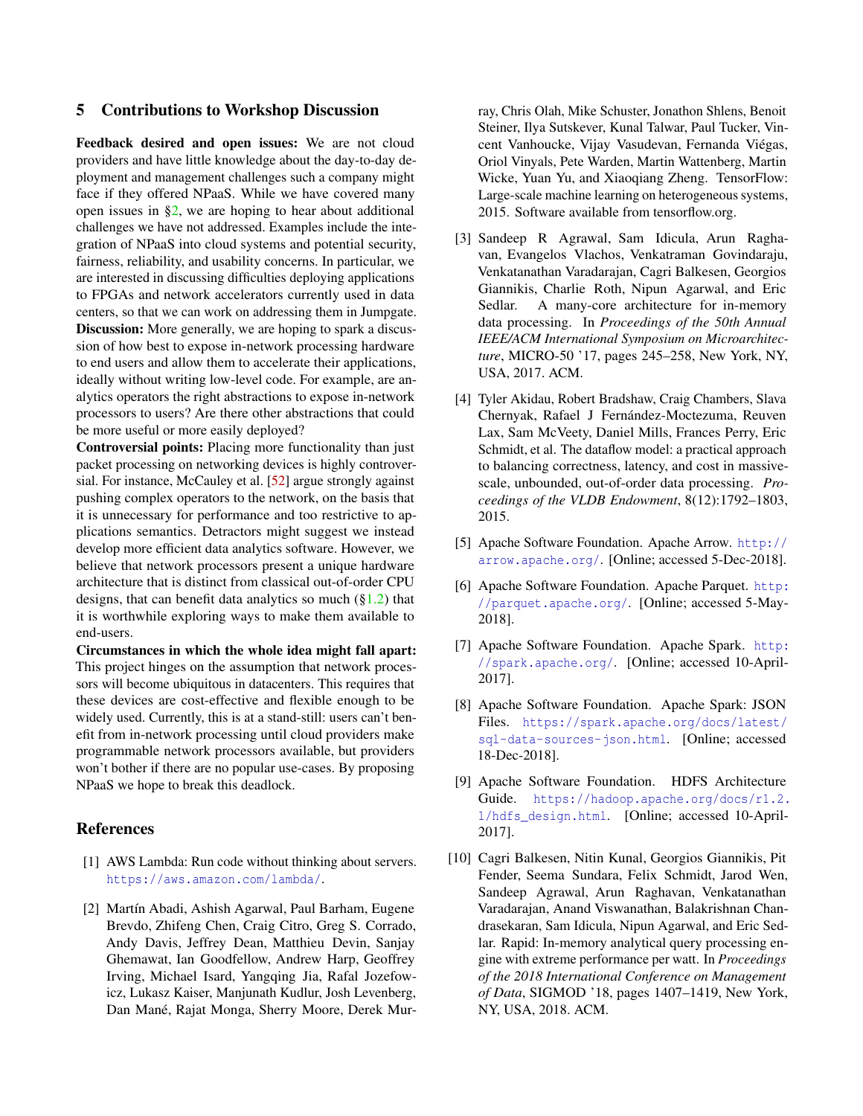#### 5 Contributions to Workshop Discussion

Feedback desired and open issues: We are not cloud providers and have little knowledge about the day-to-day deployment and management challenges such a company might face if they offered NPaaS. While we have covered many open issues in  $\S2$ , we are hoping to hear about additional challenges we have not addressed. Examples include the integration of NPaaS into cloud systems and potential security, fairness, reliability, and usability concerns. In particular, we are interested in discussing difficulties deploying applications to FPGAs and network accelerators currently used in data centers, so that we can work on addressing them in Jumpgate. **Discussion:** More generally, we are hoping to spark a discussion of how best to expose in-network processing hardware to end users and allow them to accelerate their applications, ideally without writing low-level code. For example, are analytics operators the right abstractions to expose in-network processors to users? Are there other abstractions that could be more useful or more easily deployed?

Controversial points: Placing more functionality than just packet processing on networking devices is highly controversial. For instance, McCauley et al. [\[52\]](#page-8-19) argue strongly against pushing complex operators to the network, on the basis that it is unnecessary for performance and too restrictive to applications semantics. Detractors might suggest we instead develop more efficient data analytics software. However, we believe that network processors present a unique hardware architecture that is distinct from classical out-of-order CPU designs, that can benefit data analytics so much ([§1.2\)](#page-1-0) that it is worthwhile exploring ways to make them available to end-users.

Circumstances in which the whole idea might fall apart: This project hinges on the assumption that network processors will become ubiquitous in datacenters. This requires that these devices are cost-effective and flexible enough to be widely used. Currently, this is at a stand-still: users can't benefit from in-network processing until cloud providers make programmable network processors available, but providers won't bother if there are no popular use-cases. By proposing NPaaS we hope to break this deadlock.

#### References

- <span id="page-5-3"></span>[1] AWS Lambda: Run code without thinking about servers. <https://aws.amazon.com/lambda/>.
- <span id="page-5-1"></span>[2] Martín Abadi, Ashish Agarwal, Paul Barham, Eugene Brevdo, Zhifeng Chen, Craig Citro, Greg S. Corrado, Andy Davis, Jeffrey Dean, Matthieu Devin, Sanjay Ghemawat, Ian Goodfellow, Andrew Harp, Geoffrey Irving, Michael Isard, Yangqing Jia, Rafal Jozefowicz, Lukasz Kaiser, Manjunath Kudlur, Josh Levenberg, Dan Mané, Rajat Monga, Sherry Moore, Derek Mur-

ray, Chris Olah, Mike Schuster, Jonathon Shlens, Benoit Steiner, Ilya Sutskever, Kunal Talwar, Paul Tucker, Vincent Vanhoucke, Vijay Vasudevan, Fernanda Viégas, Oriol Vinyals, Pete Warden, Martin Wattenberg, Martin Wicke, Yuan Yu, and Xiaoqiang Zheng. TensorFlow: Large-scale machine learning on heterogeneous systems, 2015. Software available from tensorflow.org.

- <span id="page-5-2"></span>[3] Sandeep R Agrawal, Sam Idicula, Arun Raghavan, Evangelos Vlachos, Venkatraman Govindaraju, Venkatanathan Varadarajan, Cagri Balkesen, Georgios Giannikis, Charlie Roth, Nipun Agarwal, and Eric Sedlar. A many-core architecture for in-memory data processing. In *Proceedings of the 50th Annual IEEE/ACM International Symposium on Microarchitecture*, MICRO-50 '17, pages 245–258, New York, NY, USA, 2017. ACM.
- <span id="page-5-9"></span>[4] Tyler Akidau, Robert Bradshaw, Craig Chambers, Slava Chernyak, Rafael J Fernández-Moctezuma, Reuven Lax, Sam McVeety, Daniel Mills, Frances Perry, Eric Schmidt, et al. The dataflow model: a practical approach to balancing correctness, latency, and cost in massivescale, unbounded, out-of-order data processing. *Proceedings of the VLDB Endowment*, 8(12):1792–1803, 2015.
- <span id="page-5-5"></span>[5] Apache Software Foundation. Apache Arrow. [http://](http://arrow.apache.org/) [arrow.apache.org/](http://arrow.apache.org/). [Online; accessed 5-Dec-2018].
- <span id="page-5-6"></span>[6] Apache Software Foundation. Apache Parquet. [http:](http://parquet.apache.org/) [//parquet.apache.org/](http://parquet.apache.org/). [Online; accessed 5-May-2018].
- <span id="page-5-0"></span>[7] Apache Software Foundation. Apache Spark. [http:](http://spark.apache.org/) [//spark.apache.org/](http://spark.apache.org/). [Online; accessed 10-April-2017].
- <span id="page-5-7"></span>[8] Apache Software Foundation. Apache Spark: JSON Files. [https://spark.apache.org/docs/latest/](https://spark.apache.org/docs/latest/sql-data-sources-json.html) [sql-data-sources-json.html](https://spark.apache.org/docs/latest/sql-data-sources-json.html). [Online; accessed 18-Dec-2018].
- <span id="page-5-8"></span>[9] Apache Software Foundation. HDFS Architecture Guide. [https://hadoop.apache.org/docs/r1.2.](https://hadoop.apache.org/docs/r1.2.1/hdfs_design.html) [1/hdfs\\_design.html](https://hadoop.apache.org/docs/r1.2.1/hdfs_design.html). [Online; accessed 10-April-2017].
- <span id="page-5-4"></span>[10] Cagri Balkesen, Nitin Kunal, Georgios Giannikis, Pit Fender, Seema Sundara, Felix Schmidt, Jarod Wen, Sandeep Agrawal, Arun Raghavan, Venkatanathan Varadarajan, Anand Viswanathan, Balakrishnan Chandrasekaran, Sam Idicula, Nipun Agarwal, and Eric Sedlar. Rapid: In-memory analytical query processing engine with extreme performance per watt. In *Proceedings of the 2018 International Conference on Management of Data*, SIGMOD '18, pages 1407–1419, New York, NY, USA, 2018. ACM.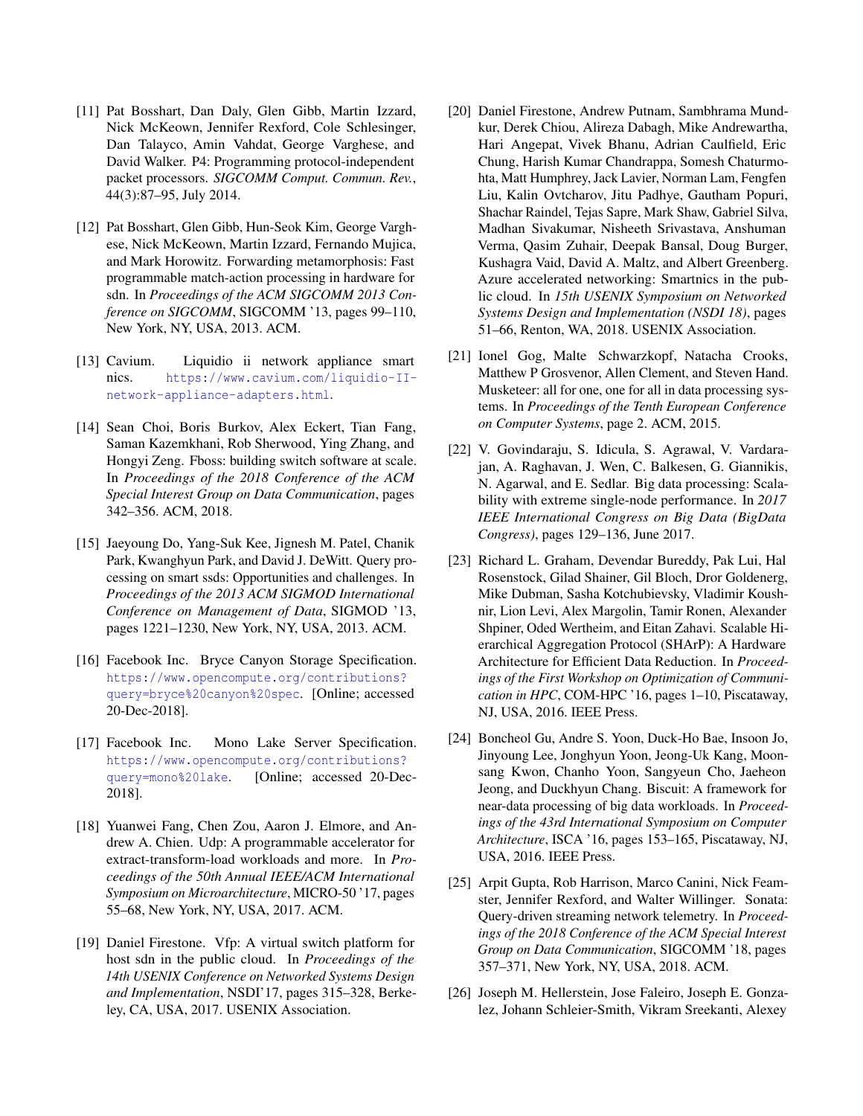- <span id="page-6-4"></span>[11] Pat Bosshart, Dan Daly, Glen Gibb, Martin Izzard, Nick McKeown, Jennifer Rexford, Cole Schlesinger, Dan Talayco, Amin Vahdat, George Varghese, and David Walker. P4: Programming protocol-independent packet processors. *SIGCOMM Comput. Commun. Rev.*, 44(3):87–95, July 2014.
- <span id="page-6-1"></span>[12] Pat Bosshart, Glen Gibb, Hun-Seok Kim, George Varghese, Nick McKeown, Martin Izzard, Fernando Mujica, and Mark Horowitz. Forwarding metamorphosis: Fast programmable match-action processing in hardware for sdn. In *Proceedings of the ACM SIGCOMM 2013 Conference on SIGCOMM*, SIGCOMM '13, pages 99–110, New York, NY, USA, 2013. ACM.
- <span id="page-6-2"></span>[13] Cavium. Liquidio ii network appliance smart nics. [https://www.cavium.com/liquidio-II](https://www.cavium.com/liquidio-II-network-appliance-adapters.html)[network-appliance-adapters.html](https://www.cavium.com/liquidio-II-network-appliance-adapters.html).
- <span id="page-6-12"></span>[14] Sean Choi, Boris Burkov, Alex Eckert, Tian Fang, Saman Kazemkhani, Rob Sherwood, Ying Zhang, and Hongyi Zeng. Fboss: building switch software at scale. In *Proceedings of the 2018 Conference of the ACM Special Interest Group on Data Communication*, pages 342–356. ACM, 2018.
- <span id="page-6-9"></span>[15] Jaeyoung Do, Yang-Suk Kee, Jignesh M. Patel, Chanik Park, Kwanghyun Park, and David J. DeWitt. Query processing on smart ssds: Opportunities and challenges. In *Proceedings of the 2013 ACM SIGMOD International Conference on Management of Data*, SIGMOD '13, pages 1221–1230, New York, NY, USA, 2013. ACM.
- <span id="page-6-7"></span>[16] Facebook Inc. Bryce Canyon Storage Specification. [https://www.opencompute.org/contributions?](https://www.opencompute.org/contributions?query=bryce%20canyon%20spec) [query=bryce%20canyon%20spec](https://www.opencompute.org/contributions?query=bryce%20canyon%20spec). [Online; accessed 20-Dec-2018].
- <span id="page-6-8"></span>[17] Facebook Inc. Mono Lake Server Specification. [https://www.opencompute.org/contributions?](https://www.opencompute.org/contributions?query=mono%20lake) [query=mono%20lake](https://www.opencompute.org/contributions?query=mono%20lake). [Online; accessed 20-Dec-2018].
- <span id="page-6-13"></span>[18] Yuanwei Fang, Chen Zou, Aaron J. Elmore, and Andrew A. Chien. Udp: A programmable accelerator for extract-transform-load workloads and more. In *Proceedings of the 50th Annual IEEE/ACM International Symposium on Microarchitecture*, MICRO-50 '17, pages 55–68, New York, NY, USA, 2017. ACM.
- <span id="page-6-15"></span>[19] Daniel Firestone. Vfp: A virtual switch platform for host sdn in the public cloud. In *Proceedings of the 14th USENIX Conference on Networked Systems Design and Implementation*, NSDI'17, pages 315–328, Berkeley, CA, USA, 2017. USENIX Association.
- <span id="page-6-0"></span>[20] Daniel Firestone, Andrew Putnam, Sambhrama Mundkur, Derek Chiou, Alireza Dabagh, Mike Andrewartha, Hari Angepat, Vivek Bhanu, Adrian Caulfield, Eric Chung, Harish Kumar Chandrappa, Somesh Chaturmohta, Matt Humphrey, Jack Lavier, Norman Lam, Fengfen Liu, Kalin Ovtcharov, Jitu Padhye, Gautham Popuri, Shachar Raindel, Tejas Sapre, Mark Shaw, Gabriel Silva, Madhan Sivakumar, Nisheeth Srivastava, Anshuman Verma, Qasim Zuhair, Deepak Bansal, Doug Burger, Kushagra Vaid, David A. Maltz, and Albert Greenberg. Azure accelerated networking: Smartnics in the public cloud. In *15th USENIX Symposium on Networked Systems Design and Implementation (NSDI 18)*, pages 51–66, Renton, WA, 2018. USENIX Association.
- <span id="page-6-14"></span>[21] Ionel Gog, Malte Schwarzkopf, Natacha Crooks, Matthew P Grosvenor, Allen Clement, and Steven Hand. Musketeer: all for one, one for all in data processing systems. In *Proceedings of the Tenth European Conference on Computer Systems*, page 2. ACM, 2015.
- <span id="page-6-11"></span>[22] V. Govindaraju, S. Idicula, S. Agrawal, V. Vardarajan, A. Raghavan, J. Wen, C. Balkesen, G. Giannikis, N. Agarwal, and E. Sedlar. Big data processing: Scalability with extreme single-node performance. In *2017 IEEE International Congress on Big Data (BigData Congress)*, pages 129–136, June 2017.
- <span id="page-6-3"></span>[23] Richard L. Graham, Devendar Bureddy, Pak Lui, Hal Rosenstock, Gilad Shainer, Gil Bloch, Dror Goldenerg, Mike Dubman, Sasha Kotchubievsky, Vladimir Koushnir, Lion Levi, Alex Margolin, Tamir Ronen, Alexander Shpiner, Oded Wertheim, and Eitan Zahavi. Scalable Hierarchical Aggregation Protocol (SHArP): A Hardware Architecture for Efficient Data Reduction. In *Proceedings of the First Workshop on Optimization of Communication in HPC*, COM-HPC '16, pages 1–10, Piscataway, NJ, USA, 2016. IEEE Press.
- <span id="page-6-10"></span>[24] Boncheol Gu, Andre S. Yoon, Duck-Ho Bae, Insoon Jo, Jinyoung Lee, Jonghyun Yoon, Jeong-Uk Kang, Moonsang Kwon, Chanho Yoon, Sangyeun Cho, Jaeheon Jeong, and Duckhyun Chang. Biscuit: A framework for near-data processing of big data workloads. In *Proceedings of the 43rd International Symposium on Computer Architecture*, ISCA '16, pages 153–165, Piscataway, NJ, USA, 2016. IEEE Press.
- <span id="page-6-5"></span>[25] Arpit Gupta, Rob Harrison, Marco Canini, Nick Feamster, Jennifer Rexford, and Walter Willinger. Sonata: Query-driven streaming network telemetry. In *Proceedings of the 2018 Conference of the ACM Special Interest Group on Data Communication*, SIGCOMM '18, pages 357–371, New York, NY, USA, 2018. ACM.
- <span id="page-6-6"></span>[26] Joseph M. Hellerstein, Jose Faleiro, Joseph E. Gonzalez, Johann Schleier-Smith, Vikram Sreekanti, Alexey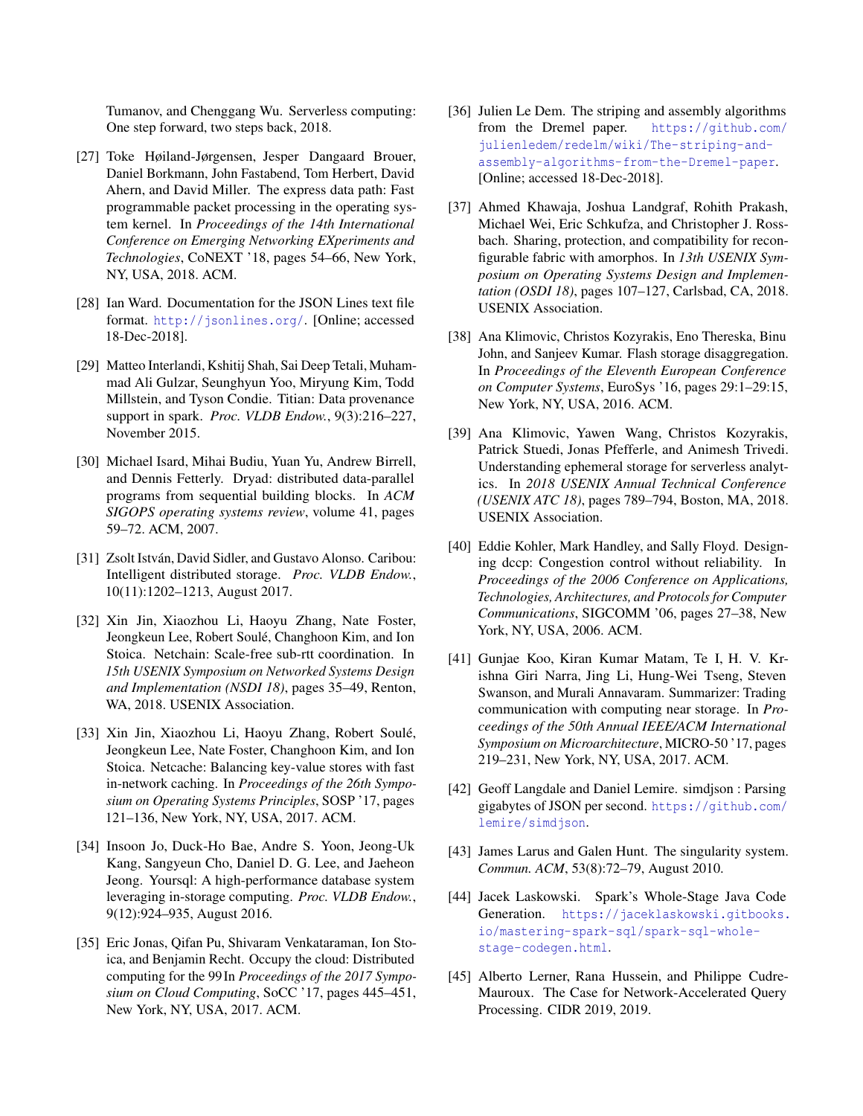Tumanov, and Chenggang Wu. Serverless computing: One step forward, two steps back, 2018.

- <span id="page-7-0"></span>[27] Toke Høiland-Jørgensen, Jesper Dangaard Brouer, Daniel Borkmann, John Fastabend, Tom Herbert, David Ahern, and David Miller. The express data path: Fast programmable packet processing in the operating system kernel. In *Proceedings of the 14th International Conference on Emerging Networking EXperiments and Technologies*, CoNEXT '18, pages 54–66, New York, NY, USA, 2018. ACM.
- <span id="page-7-15"></span>[28] Ian Ward. Documentation for the JSON Lines text file format. <http://jsonlines.org/>. [Online; accessed 18-Dec-2018].
- <span id="page-7-18"></span>[29] Matteo Interlandi, Kshitij Shah, Sai Deep Tetali, Muhammad Ali Gulzar, Seunghyun Yoo, Miryung Kim, Todd Millstein, and Tyson Condie. Titian: Data provenance support in spark. *Proc. VLDB Endow.*, 9(3):216–227, November 2015.
- <span id="page-7-16"></span>[30] Michael Isard, Mihai Budiu, Yuan Yu, Andrew Birrell, and Dennis Fetterly. Dryad: distributed data-parallel programs from sequential building blocks. In *ACM SIGOPS operating systems review*, volume 41, pages 59–72. ACM, 2007.
- <span id="page-7-8"></span>[31] Zsolt István, David Sidler, and Gustavo Alonso. Caribou: Intelligent distributed storage. *Proc. VLDB Endow.*, 10(11):1202–1213, August 2017.
- <span id="page-7-1"></span>[32] Xin Jin, Xiaozhou Li, Haoyu Zhang, Nate Foster, Jeongkeun Lee, Robert Soulé, Changhoon Kim, and Ion Stoica. Netchain: Scale-free sub-rtt coordination. In *15th USENIX Symposium on Networked Systems Design and Implementation (NSDI 18)*, pages 35–49, Renton, WA, 2018. USENIX Association.
- <span id="page-7-2"></span>[33] Xin Jin, Xiaozhou Li, Haoyu Zhang, Robert Soulé, Jeongkeun Lee, Nate Foster, Changhoon Kim, and Ion Stoica. Netcache: Balancing key-value stores with fast in-network caching. In *Proceedings of the 26th Symposium on Operating Systems Principles*, SOSP '17, pages 121–136, New York, NY, USA, 2017. ACM.
- <span id="page-7-9"></span>[34] Insoon Jo, Duck-Ho Bae, Andre S. Yoon, Jeong-Uk Kang, Sangyeun Cho, Daniel D. G. Lee, and Jaeheon Jeong. Yoursql: A high-performance database system leveraging in-storage computing. *Proc. VLDB Endow.*, 9(12):924–935, August 2016.
- <span id="page-7-6"></span>[35] Eric Jonas, Qifan Pu, Shivaram Venkataraman, Ion Stoica, and Benjamin Recht. Occupy the cloud: Distributed computing for the 99 In *Proceedings of the 2017 Symposium on Cloud Computing*, SoCC '17, pages 445–451, New York, NY, USA, 2017. ACM.
- <span id="page-7-14"></span>[36] Julien Le Dem. The striping and assembly algorithms from the Dremel paper. [https://github.com/](https://github.com/julienledem/redelm/wiki/The-striping-and-assembly-algorithms-from-the-Dremel-paper) [julienledem/redelm/wiki/The-striping-and](https://github.com/julienledem/redelm/wiki/The-striping-and-assembly-algorithms-from-the-Dremel-paper)[assembly-algorithms-from-the-Dremel-paper](https://github.com/julienledem/redelm/wiki/The-striping-and-assembly-algorithms-from-the-Dremel-paper). [Online; accessed 18-Dec-2018].
- <span id="page-7-4"></span>[37] Ahmed Khawaja, Joshua Landgraf, Rohith Prakash, Michael Wei, Eric Schkufza, and Christopher J. Rossbach. Sharing, protection, and compatibility for reconfigurable fabric with amorphos. In *13th USENIX Symposium on Operating Systems Design and Implementation (OSDI 18)*, pages 107–127, Carlsbad, CA, 2018. USENIX Association.
- <span id="page-7-5"></span>[38] Ana Klimovic, Christos Kozyrakis, Eno Thereska, Binu John, and Sanjeev Kumar. Flash storage disaggregation. In *Proceedings of the Eleventh European Conference on Computer Systems*, EuroSys '16, pages 29:1–29:15, New York, NY, USA, 2016. ACM.
- <span id="page-7-7"></span>[39] Ana Klimovic, Yawen Wang, Christos Kozyrakis, Patrick Stuedi, Jonas Pfefferle, and Animesh Trivedi. Understanding ephemeral storage for serverless analytics. In *2018 USENIX Annual Technical Conference (USENIX ATC 18)*, pages 789–794, Boston, MA, 2018. USENIX Association.
- <span id="page-7-13"></span>[40] Eddie Kohler, Mark Handley, and Sally Floyd. Designing dccp: Congestion control without reliability. In *Proceedings of the 2006 Conference on Applications, Technologies, Architectures, and Protocols for Computer Communications*, SIGCOMM '06, pages 27–38, New York, NY, USA, 2006. ACM.
- <span id="page-7-10"></span>[41] Gunjae Koo, Kiran Kumar Matam, Te I, H. V. Krishna Giri Narra, Jing Li, Hung-Wei Tseng, Steven Swanson, and Murali Annavaram. Summarizer: Trading communication with computing near storage. In *Proceedings of the 50th Annual IEEE/ACM International Symposium on Microarchitecture*, MICRO-50 '17, pages 219–231, New York, NY, USA, 2017. ACM.
- <span id="page-7-12"></span>[42] Geoff Langdale and Daniel Lemire. simdjson : Parsing gigabytes of JSON per second. [https://github.com/](https://github.com/lemire/simdjson) [lemire/simdjson](https://github.com/lemire/simdjson).
- <span id="page-7-17"></span>[43] James Larus and Galen Hunt. The singularity system. *Commun. ACM*, 53(8):72–79, August 2010.
- <span id="page-7-11"></span>[44] Jacek Laskowski. Spark's Whole-Stage Java Code Generation. [https://jaceklaskowski.gitbooks.](https://jaceklaskowski.gitbooks.io/mastering-spark-sql/spark-sql-whole-stage-codegen.html) [io/mastering-spark-sql/spark-sql-whole](https://jaceklaskowski.gitbooks.io/mastering-spark-sql/spark-sql-whole-stage-codegen.html)[stage-codegen.html](https://jaceklaskowski.gitbooks.io/mastering-spark-sql/spark-sql-whole-stage-codegen.html).
- <span id="page-7-3"></span>[45] Alberto Lerner, Rana Hussein, and Philippe Cudre-Mauroux. The Case for Network-Accelerated Query Processing. CIDR 2019, 2019.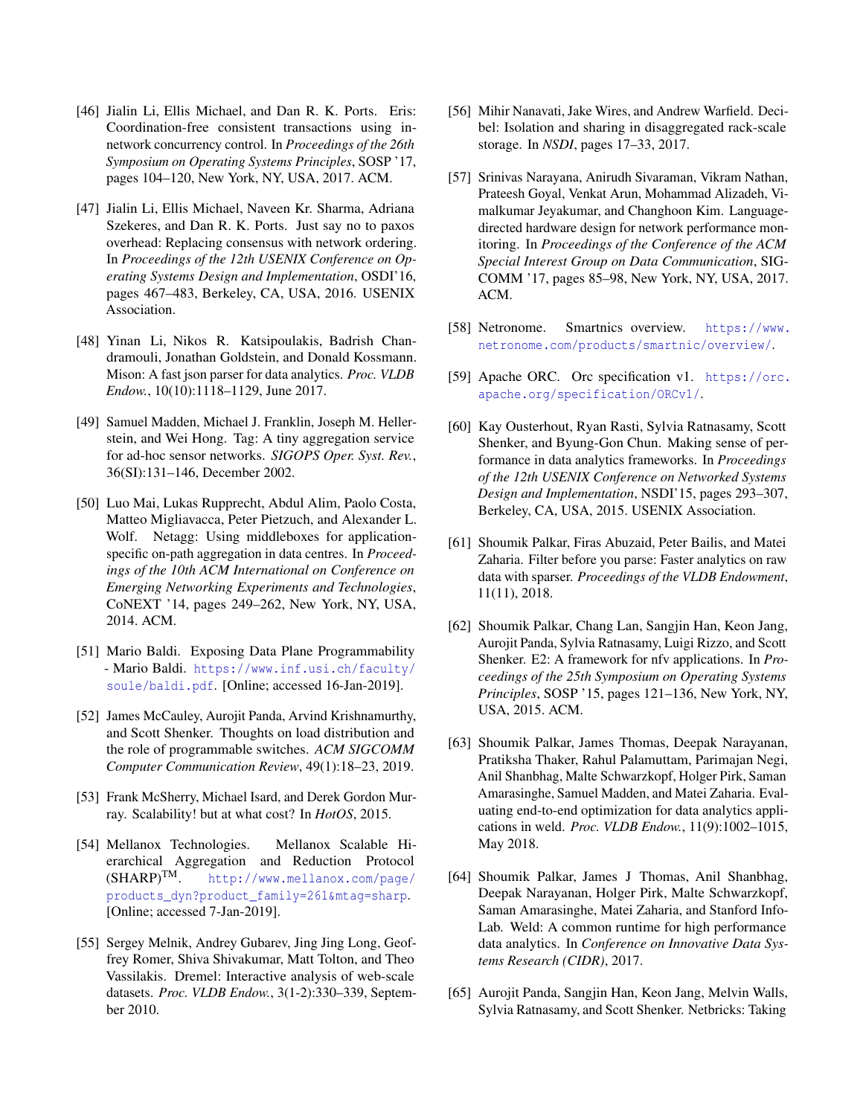- <span id="page-8-7"></span>[46] Jialin Li, Ellis Michael, and Dan R. K. Ports. Eris: Coordination-free consistent transactions using innetwork concurrency control. In *Proceedings of the 26th Symposium on Operating Systems Principles*, SOSP '17, pages 104–120, New York, NY, USA, 2017. ACM.
- <span id="page-8-3"></span>[47] Jialin Li, Ellis Michael, Naveen Kr. Sharma, Adriana Szekeres, and Dan R. K. Ports. Just say no to paxos overhead: Replacing consensus with network ordering. In *Proceedings of the 12th USENIX Conference on Operating Systems Design and Implementation*, OSDI'16, pages 467–483, Berkeley, CA, USA, 2016. USENIX Association.
- <span id="page-8-11"></span>[48] Yinan Li, Nikos R. Katsipoulakis, Badrish Chandramouli, Jonathan Goldstein, and Donald Kossmann. Mison: A fast json parser for data analytics. *Proc. VLDB Endow.*, 10(10):1118–1129, June 2017.
- <span id="page-8-4"></span>[49] Samuel Madden, Michael J. Franklin, Joseph M. Hellerstein, and Wei Hong. Tag: A tiny aggregation service for ad-hoc sensor networks. *SIGOPS Oper. Syst. Rev.*, 36(SI):131–146, December 2002.
- <span id="page-8-5"></span>[50] Luo Mai, Lukas Rupprecht, Abdul Alim, Paolo Costa, Matteo Migliavacca, Peter Pietzuch, and Alexander L. Wolf. Netagg: Using middleboxes for applicationspecific on-path aggregation in data centres. In *Proceedings of the 10th ACM International on Conference on Emerging Networking Experiments and Technologies*, CoNEXT '14, pages 249–262, New York, NY, USA, 2014. ACM.
- <span id="page-8-18"></span>[51] Mario Baldi. Exposing Data Plane Programmability - Mario Baldi. [https://www.inf.usi.ch/faculty/](https://www.inf.usi.ch/faculty/soule/baldi.pdf) [soule/baldi.pdf](https://www.inf.usi.ch/faculty/soule/baldi.pdf). [Online; accessed 16-Jan-2019].
- <span id="page-8-19"></span>[52] James McCauley, Aurojit Panda, Arvind Krishnamurthy, and Scott Shenker. Thoughts on load distribution and the role of programmable switches. *ACM SIGCOMM Computer Communication Review*, 49(1):18–23, 2019.
- <span id="page-8-10"></span>[53] Frank McSherry, Michael Isard, and Derek Gordon Murray. Scalability! but at what cost? In *HotOS*, 2015.
- <span id="page-8-12"></span>[54] Mellanox Technologies. Mellanox Scalable Hierarchical Aggregation and Reduction Protocol  $(SHARP)^{TM}$ . http://www.mellanox.com/page/ [http://www.mellanox.com/page/](http://www.mellanox.com/page/products_dyn?product_family=261&mtag=sharp) [products\\_dyn?product\\_family=261&mtag=sharp](http://www.mellanox.com/page/products_dyn?product_family=261&mtag=sharp). [Online; accessed 7-Jan-2019].
- <span id="page-8-15"></span>[55] Sergey Melnik, Andrey Gubarev, Jing Jing Long, Geoffrey Romer, Shiva Shivakumar, Matt Tolton, and Theo Vassilakis. Dremel: Interactive analysis of web-scale datasets. *Proc. VLDB Endow.*, 3(1-2):330–339, September 2010.
- <span id="page-8-9"></span>[56] Mihir Nanavati, Jake Wires, and Andrew Warfield. Decibel: Isolation and sharing in disaggregated rack-scale storage. In *NSDI*, pages 17–33, 2017.
- <span id="page-8-8"></span>[57] Srinivas Narayana, Anirudh Sivaraman, Vikram Nathan, Prateesh Goyal, Venkat Arun, Mohammad Alizadeh, Vimalkumar Jeyakumar, and Changhoon Kim. Languagedirected hardware design for network performance monitoring. In *Proceedings of the Conference of the ACM Special Interest Group on Data Communication*, SIG-COMM '17, pages 85–98, New York, NY, USA, 2017. ACM.
- <span id="page-8-0"></span>[58] Netronome. Smartnics overview. [https://www.](https://www.netronome.com/products/smartnic/overview/) [netronome.com/products/smartnic/overview/](https://www.netronome.com/products/smartnic/overview/).
- <span id="page-8-14"></span>[59] Apache ORC. Orc specification v1. [https://orc.](https://orc.apache.org/specification/ORCv1/) [apache.org/specification/ORCv1/](https://orc.apache.org/specification/ORCv1/).
- <span id="page-8-6"></span>[60] Kay Ousterhout, Ryan Rasti, Sylvia Ratnasamy, Scott Shenker, and Byung-Gon Chun. Making sense of performance in data analytics frameworks. In *Proceedings of the 12th USENIX Conference on Networked Systems Design and Implementation*, NSDI'15, pages 293–307, Berkeley, CA, USA, 2015. USENIX Association.
- <span id="page-8-13"></span>[61] Shoumik Palkar, Firas Abuzaid, Peter Bailis, and Matei Zaharia. Filter before you parse: Faster analytics on raw data with sparser. *Proceedings of the VLDB Endowment*, 11(11), 2018.
- <span id="page-8-1"></span>[62] Shoumik Palkar, Chang Lan, Sangjin Han, Keon Jang, Aurojit Panda, Sylvia Ratnasamy, Luigi Rizzo, and Scott Shenker. E2: A framework for nfv applications. In *Proceedings of the 25th Symposium on Operating Systems Principles*, SOSP '15, pages 121–136, New York, NY, USA, 2015. ACM.
- <span id="page-8-16"></span>[63] Shoumik Palkar, James Thomas, Deepak Narayanan, Pratiksha Thaker, Rahul Palamuttam, Parimajan Negi, Anil Shanbhag, Malte Schwarzkopf, Holger Pirk, Saman Amarasinghe, Samuel Madden, and Matei Zaharia. Evaluating end-to-end optimization for data analytics applications in weld. *Proc. VLDB Endow.*, 11(9):1002–1015, May 2018.
- <span id="page-8-17"></span>[64] Shoumik Palkar, James J Thomas, Anil Shanbhag, Deepak Narayanan, Holger Pirk, Malte Schwarzkopf, Saman Amarasinghe, Matei Zaharia, and Stanford Info-Lab. Weld: A common runtime for high performance data analytics. In *Conference on Innovative Data Systems Research (CIDR)*, 2017.
- <span id="page-8-2"></span>[65] Aurojit Panda, Sangjin Han, Keon Jang, Melvin Walls, Sylvia Ratnasamy, and Scott Shenker. Netbricks: Taking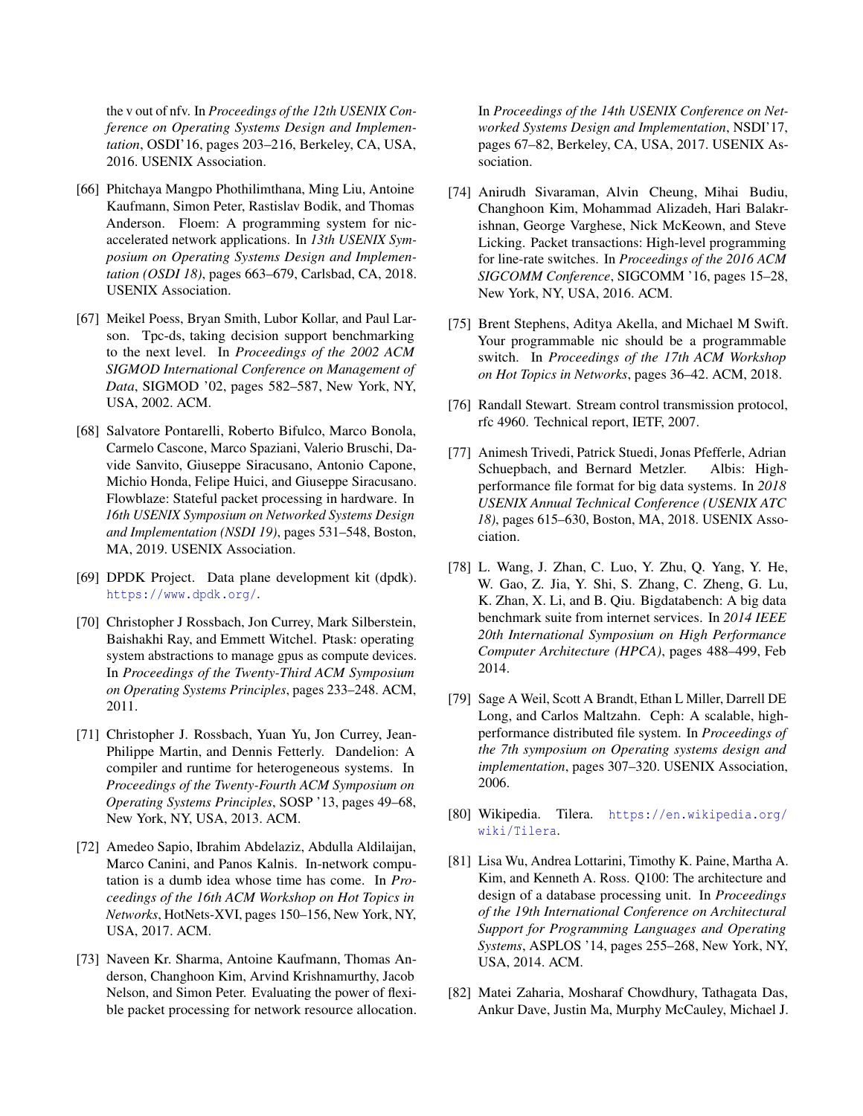the v out of nfv. In *Proceedings of the 12th USENIX Conference on Operating Systems Design and Implementation*, OSDI'16, pages 203–216, Berkeley, CA, USA, 2016. USENIX Association.

- <span id="page-9-10"></span>[66] Phitchaya Mangpo Phothilimthana, Ming Liu, Antoine Kaufmann, Simon Peter, Rastislav Bodik, and Thomas Anderson. Floem: A programming system for nicaccelerated network applications. In *13th USENIX Symposium on Operating Systems Design and Implementation (OSDI 18)*, pages 663–679, Carlsbad, CA, 2018. USENIX Association.
- <span id="page-9-15"></span>[67] Meikel Poess, Bryan Smith, Lubor Kollar, and Paul Larson. Tpc-ds, taking decision support benchmarking to the next level. In *Proceedings of the 2002 ACM SIGMOD International Conference on Management of Data*, SIGMOD '02, pages 582–587, New York, NY, USA, 2002. ACM.
- <span id="page-9-7"></span>[68] Salvatore Pontarelli, Roberto Bifulco, Marco Bonola, Carmelo Cascone, Marco Spaziani, Valerio Bruschi, Davide Sanvito, Giuseppe Siracusano, Antonio Capone, Michio Honda, Felipe Huici, and Giuseppe Siracusano. Flowblaze: Stateful packet processing in hardware. In *16th USENIX Symposium on Networked Systems Design and Implementation (NSDI 19)*, pages 531–548, Boston, MA, 2019. USENIX Association.
- <span id="page-9-2"></span>[69] DPDK Project. Data plane development kit (dpdk). <https://www.dpdk.org/>.
- <span id="page-9-4"></span>[70] Christopher J Rossbach, Jon Currey, Mark Silberstein, Baishakhi Ray, and Emmett Witchel. Ptask: operating system abstractions to manage gpus as compute devices. In *Proceedings of the Twenty-Third ACM Symposium on Operating Systems Principles*, pages 233–248. ACM, 2011.
- <span id="page-9-14"></span>[71] Christopher J. Rossbach, Yuan Yu, Jon Currey, Jean-Philippe Martin, and Dennis Fetterly. Dandelion: A compiler and runtime for heterogeneous systems. In *Proceedings of the Twenty-Fourth ACM Symposium on Operating Systems Principles*, SOSP '13, pages 49–68, New York, NY, USA, 2013. ACM.
- <span id="page-9-3"></span>[72] Amedeo Sapio, Ibrahim Abdelaziz, Abdulla Aldilaijan, Marco Canini, and Panos Kalnis. In-network computation is a dumb idea whose time has come. In *Proceedings of the 16th ACM Workshop on Hot Topics in Networks*, HotNets-XVI, pages 150–156, New York, NY, USA, 2017. ACM.
- <span id="page-9-5"></span>[73] Naveen Kr. Sharma, Antoine Kaufmann, Thomas Anderson, Changhoon Kim, Arvind Krishnamurthy, Jacob Nelson, and Simon Peter. Evaluating the power of flexible packet processing for network resource allocation.

In *Proceedings of the 14th USENIX Conference on Networked Systems Design and Implementation*, NSDI'17, pages 67–82, Berkeley, CA, USA, 2017. USENIX Association.

- <span id="page-9-6"></span>[74] Anirudh Sivaraman, Alvin Cheung, Mihai Budiu, Changhoon Kim, Mohammad Alizadeh, Hari Balakrishnan, George Varghese, Nick McKeown, and Steve Licking. Packet transactions: High-level programming for line-rate switches. In *Proceedings of the 2016 ACM SIGCOMM Conference*, SIGCOMM '16, pages 15–28, New York, NY, USA, 2016. ACM.
- <span id="page-9-0"></span>[75] Brent Stephens, Aditya Akella, and Michael M Swift. Your programmable nic should be a programmable switch. In *Proceedings of the 17th ACM Workshop on Hot Topics in Networks*, pages 36–42. ACM, 2018.
- <span id="page-9-11"></span>[76] Randall Stewart. Stream control transmission protocol, rfc 4960. Technical report, IETF, 2007.
- <span id="page-9-12"></span>[77] Animesh Trivedi, Patrick Stuedi, Jonas Pfefferle, Adrian Schuepbach, and Bernard Metzler. Albis: Highperformance file format for big data systems. In *2018 USENIX Annual Technical Conference (USENIX ATC 18)*, pages 615–630, Boston, MA, 2018. USENIX Association.
- <span id="page-9-16"></span>[78] L. Wang, J. Zhan, C. Luo, Y. Zhu, Q. Yang, Y. He, W. Gao, Z. Jia, Y. Shi, S. Zhang, C. Zheng, G. Lu, K. Zhan, X. Li, and B. Qiu. Bigdatabench: A big data benchmark suite from internet services. In *2014 IEEE 20th International Symposium on High Performance Computer Architecture (HPCA)*, pages 488–499, Feb 2014.
- <span id="page-9-13"></span>[79] Sage A Weil, Scott A Brandt, Ethan L Miller, Darrell DE Long, and Carlos Maltzahn. Ceph: A scalable, highperformance distributed file system. In *Proceedings of the 7th symposium on Operating systems design and implementation*, pages 307–320. USENIX Association, 2006.
- <span id="page-9-1"></span>[80] Wikipedia. Tilera. [https://en.wikipedia.org/](https://en.wikipedia.org/wiki/Tilera) [wiki/Tilera](https://en.wikipedia.org/wiki/Tilera).
- <span id="page-9-9"></span>[81] Lisa Wu, Andrea Lottarini, Timothy K. Paine, Martha A. Kim, and Kenneth A. Ross. Q100: The architecture and design of a database processing unit. In *Proceedings of the 19th International Conference on Architectural Support for Programming Languages and Operating Systems*, ASPLOS '14, pages 255–268, New York, NY, USA, 2014. ACM.
- <span id="page-9-8"></span>[82] Matei Zaharia, Mosharaf Chowdhury, Tathagata Das, Ankur Dave, Justin Ma, Murphy McCauley, Michael J.